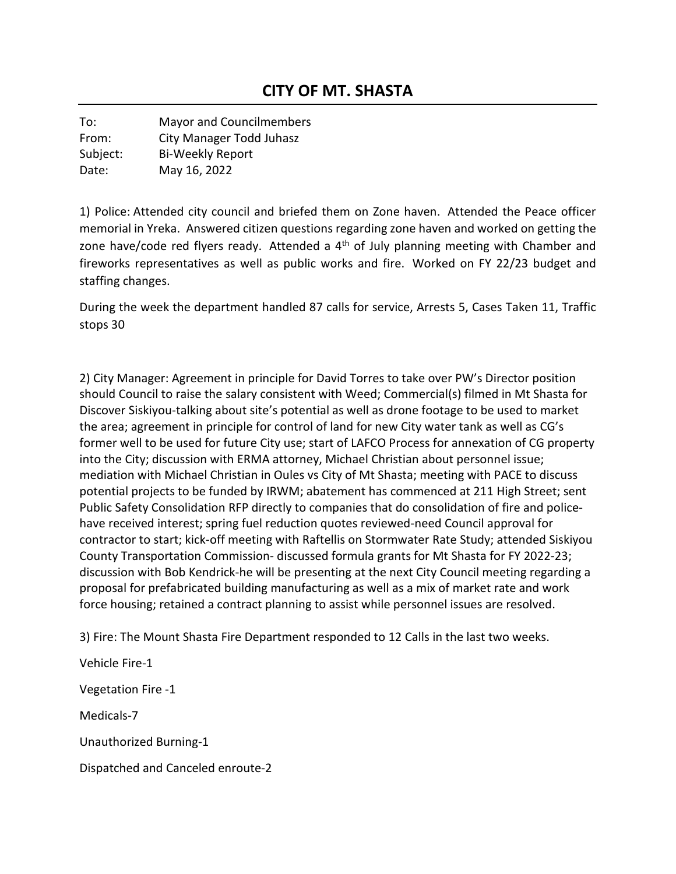To: Mayor and Councilmembers From: City Manager Todd Juhasz Subject: Bi-Weekly Report Date: May 16, 2022

1) Police: Attended city council and briefed them on Zone haven. Attended the Peace officer memorial in Yreka. Answered citizen questions regarding zone haven and worked on getting the zone have/code red flyers ready. Attended a  $4<sup>th</sup>$  of July planning meeting with Chamber and fireworks representatives as well as public works and fire. Worked on FY 22/23 budget and staffing changes.

During the week the department handled 87 calls for service, Arrests 5, Cases Taken 11, Traffic stops 30

2) City Manager: Agreement in principle for David Torres to take over PW's Director position should Council to raise the salary consistent with Weed; Commercial(s) filmed in Mt Shasta for Discover Siskiyou-talking about site's potential as well as drone footage to be used to market the area; agreement in principle for control of land for new City water tank as well as CG's former well to be used for future City use; start of LAFCO Process for annexation of CG property into the City; discussion with ERMA attorney, Michael Christian about personnel issue; mediation with Michael Christian in Oules vs City of Mt Shasta; meeting with PACE to discuss potential projects to be funded by IRWM; abatement has commenced at 211 High Street; sent Public Safety Consolidation RFP directly to companies that do consolidation of fire and policehave received interest; spring fuel reduction quotes reviewed-need Council approval for contractor to start; kick-off meeting with Raftellis on Stormwater Rate Study; attended Siskiyou County Transportation Commission- discussed formula grants for Mt Shasta for FY 2022-23; discussion with Bob Kendrick-he will be presenting at the next City Council meeting regarding a proposal for prefabricated building manufacturing as well as a mix of market rate and work force housing; retained a contract planning to assist while personnel issues are resolved.

3) Fire: The Mount Shasta Fire Department responded to 12 Calls in the last two weeks.

Vehicle Fire-1 Vegetation Fire -1 Medicals-7 Unauthorized Burning-1 Dispatched and Canceled enroute-2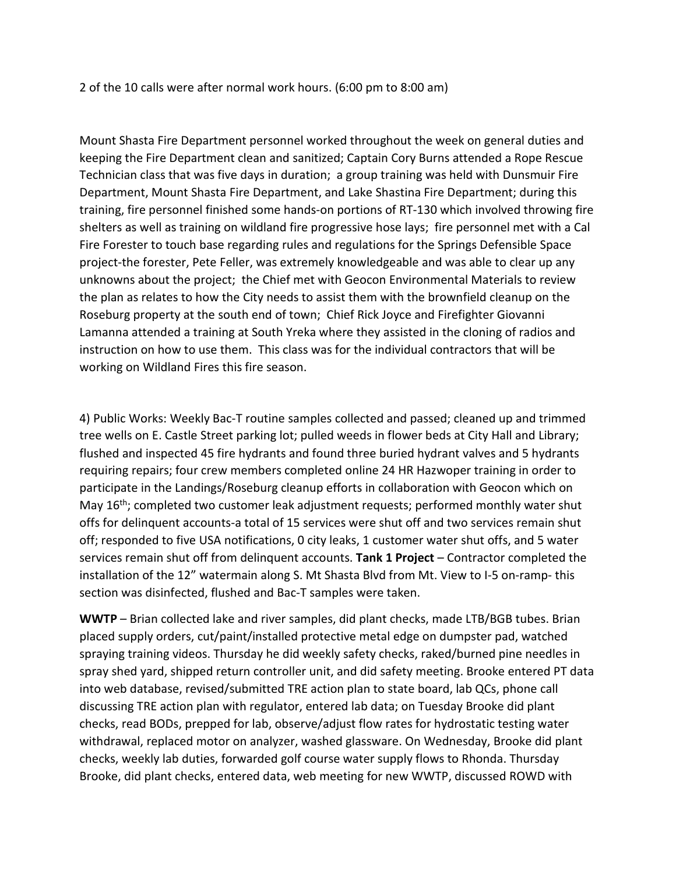2 of the 10 calls were after normal work hours. (6:00 pm to 8:00 am)

Mount Shasta Fire Department personnel worked throughout the week on general duties and keeping the Fire Department clean and sanitized; Captain Cory Burns attended a Rope Rescue Technician class that was five days in duration; a group training was held with Dunsmuir Fire Department, Mount Shasta Fire Department, and Lake Shastina Fire Department; during this training, fire personnel finished some hands-on portions of RT-130 which involved throwing fire shelters as well as training on wildland fire progressive hose lays; fire personnel met with a Cal Fire Forester to touch base regarding rules and regulations for the Springs Defensible Space project-the forester, Pete Feller, was extremely knowledgeable and was able to clear up any unknowns about the project; the Chief met with Geocon Environmental Materials to review the plan as relates to how the City needs to assist them with the brownfield cleanup on the Roseburg property at the south end of town; Chief Rick Joyce and Firefighter Giovanni Lamanna attended a training at South Yreka where they assisted in the cloning of radios and instruction on how to use them. This class was for the individual contractors that will be working on Wildland Fires this fire season.

4) Public Works: Weekly Bac-T routine samples collected and passed; cleaned up and trimmed tree wells on E. Castle Street parking lot; pulled weeds in flower beds at City Hall and Library; flushed and inspected 45 fire hydrants and found three buried hydrant valves and 5 hydrants requiring repairs; four crew members completed online 24 HR Hazwoper training in order to participate in the Landings/Roseburg cleanup efforts in collaboration with Geocon which on May  $16<sup>th</sup>$ ; completed two customer leak adjustment requests; performed monthly water shut offs for delinquent accounts-a total of 15 services were shut off and two services remain shut off; responded to five USA notifications, 0 city leaks, 1 customer water shut offs, and 5 water services remain shut off from delinquent accounts. **Tank 1 Project** – Contractor completed the installation of the 12" watermain along S. Mt Shasta Blvd from Mt. View to I-5 on-ramp- this section was disinfected, flushed and Bac-T samples were taken.

**WWTP** – Brian collected lake and river samples, did plant checks, made LTB/BGB tubes. Brian placed supply orders, cut/paint/installed protective metal edge on dumpster pad, watched spraying training videos. Thursday he did weekly safety checks, raked/burned pine needles in spray shed yard, shipped return controller unit, and did safety meeting. Brooke entered PT data into web database, revised/submitted TRE action plan to state board, lab QCs, phone call discussing TRE action plan with regulator, entered lab data; on Tuesday Brooke did plant checks, read BODs, prepped for lab, observe/adjust flow rates for hydrostatic testing water withdrawal, replaced motor on analyzer, washed glassware. On Wednesday, Brooke did plant checks, weekly lab duties, forwarded golf course water supply flows to Rhonda. Thursday Brooke, did plant checks, entered data, web meeting for new WWTP, discussed ROWD with